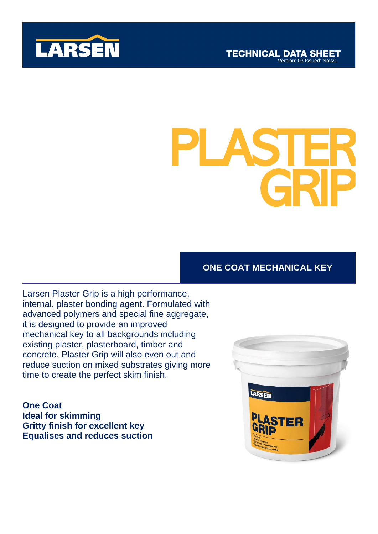

# SHOWER **ADEL SERVE** PLASTER GRIP

## **ONE COAT MECHANICAL KEY**

Larsen Plaster Grip is a high performance, internal, plaster bonding agent. Formulated with advanced polymers and special fine aggregate, it is designed to provide an improved mechanical key to all backgrounds including existing plaster, plasterboard, timber and concrete. Plaster Grip will also even out and reduce suction on mixed substrates giving more time to create the perfect skim finish.

**One Coat Ideal for skimming Gritty finish for excellent key Equalises and reduces suction**

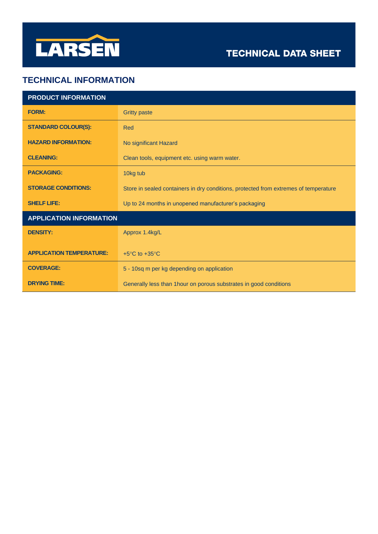

## **TECHNICAL DATA SHEET**

### **TECHNICAL INFORMATION**

| <b>PRODUCT INFORMATION</b>      |                                                                                      |
|---------------------------------|--------------------------------------------------------------------------------------|
| <b>FORM:</b>                    | <b>Gritty paste</b>                                                                  |
| <b>STANDARD COLOUR(S):</b>      | Red                                                                                  |
| <b>HAZARD INFORMATION:</b>      | No significant Hazard                                                                |
| <b>CLEANING:</b>                | Clean tools, equipment etc. using warm water.                                        |
| <b>PACKAGING:</b>               | 10kg tub                                                                             |
| <b>STORAGE CONDITIONS:</b>      | Store in sealed containers in dry conditions, protected from extremes of temperature |
| <b>SHELF LIFE:</b>              | Up to 24 months in unopened manufacturer's packaging                                 |
| <b>APPLICATION INFORMATION</b>  |                                                                                      |
| <b>DENSITY:</b>                 | Approx 1.4kg/L                                                                       |
| <b>APPLICATION TEMPERATURE:</b> | +5 $\mathrm{^{\circ}C}$ to +35 $\mathrm{^{\circ}C}$                                  |
| <b>COVERAGE:</b>                | 5 - 10sq m per kg depending on application                                           |
| <b>DRYING TIME:</b>             | Generally less than 1 hour on porous substrates in good conditions                   |